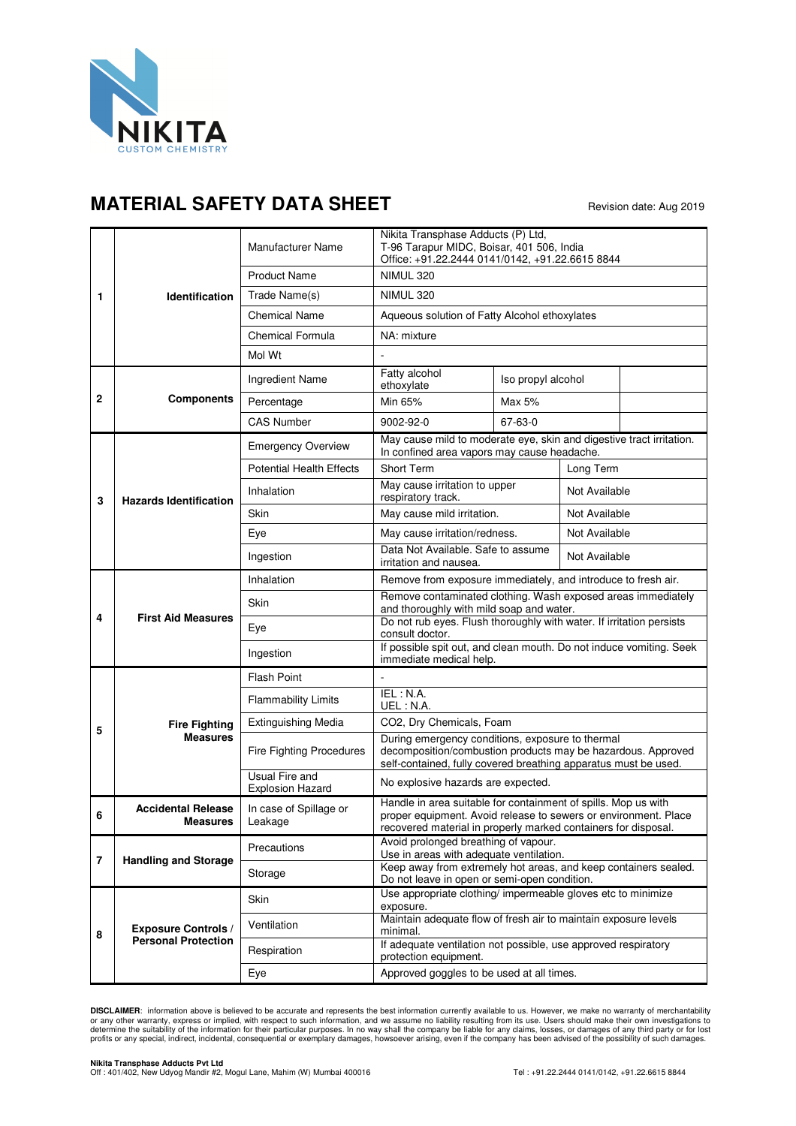

## **MATERIAL SAFETY DATA SHEET** Revision date: Aug 2019

| 1              | <b>Identification</b>                                    | Manufacturer Name                         | Nikita Transphase Adducts (P) Ltd,<br>T-96 Tarapur MIDC, Boisar, 401 506, India<br>Office: +91.22.2444 0141/0142, +91.22.6615 8844                                                                  |                               |               |               |  |
|----------------|----------------------------------------------------------|-------------------------------------------|-----------------------------------------------------------------------------------------------------------------------------------------------------------------------------------------------------|-------------------------------|---------------|---------------|--|
|                |                                                          | <b>Product Name</b>                       | <b>NIMUL 320</b>                                                                                                                                                                                    |                               |               |               |  |
|                |                                                          | Trade Name(s)                             | <b>NIMUL 320</b>                                                                                                                                                                                    |                               |               |               |  |
|                |                                                          | <b>Chemical Name</b>                      | Aqueous solution of Fatty Alcohol ethoxylates                                                                                                                                                       |                               |               |               |  |
|                |                                                          | <b>Chemical Formula</b>                   | NA: mixture                                                                                                                                                                                         |                               |               |               |  |
|                |                                                          | Mol Wt                                    |                                                                                                                                                                                                     |                               |               |               |  |
| 2              | <b>Components</b>                                        | Ingredient Name                           | Fatty alcohol<br>ethoxylate                                                                                                                                                                         | Iso propyl alcohol            |               |               |  |
|                |                                                          | Percentage                                | Min 65%                                                                                                                                                                                             | Max 5%                        |               |               |  |
|                |                                                          | <b>CAS Number</b>                         | 9002-92-0                                                                                                                                                                                           | 67-63-0                       |               |               |  |
| 3              | <b>Hazards Identification</b>                            | <b>Emergency Overview</b>                 | May cause mild to moderate eye, skin and digestive tract irritation.<br>In confined area vapors may cause headache.                                                                                 |                               |               |               |  |
|                |                                                          | <b>Potential Health Effects</b>           | Short Term                                                                                                                                                                                          |                               | Long Term     |               |  |
|                |                                                          | Inhalation                                | respiratory track.                                                                                                                                                                                  | May cause irritation to upper |               | Not Available |  |
|                |                                                          | <b>Skin</b>                               | May cause mild irritation.                                                                                                                                                                          |                               |               | Not Available |  |
|                |                                                          | Eye                                       | May cause irritation/redness.                                                                                                                                                                       |                               |               | Not Available |  |
|                |                                                          | Ingestion                                 | Data Not Available. Safe to assume<br>irritation and nausea.                                                                                                                                        |                               | Not Available |               |  |
| 4              | <b>First Aid Measures</b>                                | Inhalation                                | Remove from exposure immediately, and introduce to fresh air.                                                                                                                                       |                               |               |               |  |
|                |                                                          | Skin                                      | Remove contaminated clothing. Wash exposed areas immediately<br>and thoroughly with mild soap and water.                                                                                            |                               |               |               |  |
|                |                                                          | Eye                                       | Do not rub eyes. Flush thoroughly with water. If irritation persists<br>consult doctor.                                                                                                             |                               |               |               |  |
|                |                                                          | Ingestion                                 | If possible spit out, and clean mouth. Do not induce vomiting. Seek<br>immediate medical help.                                                                                                      |                               |               |               |  |
|                | <b>Fire Fighting</b><br><b>Measures</b>                  | <b>Flash Point</b>                        |                                                                                                                                                                                                     |                               |               |               |  |
|                |                                                          | <b>Flammability Limits</b>                | IEL : N.A.<br>UEL: N.A.                                                                                                                                                                             |                               |               |               |  |
| 5              |                                                          | <b>Extinguishing Media</b>                | CO2, Dry Chemicals, Foam                                                                                                                                                                            |                               |               |               |  |
|                |                                                          | Fire Fighting Procedures                  | During emergency conditions, exposure to thermal<br>decomposition/combustion products may be hazardous. Approved<br>self-contained, fully covered breathing apparatus must be used.                 |                               |               |               |  |
|                |                                                          | Usual Fire and<br><b>Explosion Hazard</b> | No explosive hazards are expected.                                                                                                                                                                  |                               |               |               |  |
| 6              | <b>Accidental Release</b><br><b>Measures</b>             | In case of Spillage or<br>Leakage         | Handle in area suitable for containment of spills. Mop us with<br>proper equipment. Avoid release to sewers or environment. Place<br>recovered material in properly marked containers for disposal. |                               |               |               |  |
| $\overline{7}$ | <b>Handling and Storage</b>                              | Precautions                               | Avoid prolonged breathing of vapour.<br>Use in areas with adequate ventilation.                                                                                                                     |                               |               |               |  |
|                |                                                          | Storage                                   | Keep away from extremely hot areas, and keep containers sealed.<br>Do not leave in open or semi-open condition.                                                                                     |                               |               |               |  |
| 8              | <b>Exposure Controls /</b><br><b>Personal Protection</b> | Skin                                      | Use appropriate clothing/ impermeable gloves etc to minimize<br>exposure.                                                                                                                           |                               |               |               |  |
|                |                                                          | Ventilation                               | Maintain adequate flow of fresh air to maintain exposure levels<br>minimal.                                                                                                                         |                               |               |               |  |
|                |                                                          | Respiration                               | If adequate ventilation not possible, use approved respiratory<br>protection equipment.                                                                                                             |                               |               |               |  |
|                |                                                          | Eye                                       | Approved goggles to be used at all times.                                                                                                                                                           |                               |               |               |  |

**DISCLAIMER**: information above is believed to be accurate and represents the best information currently available to us. However, we make no warranty of merchantability<br>or any other warranty, express or implied, with resp